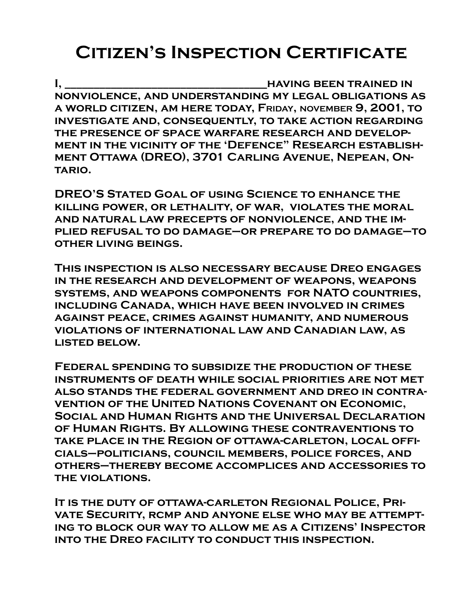# **Citizen's Inspection Certificate**

**I, \_\_\_\_\_\_\_\_\_\_\_\_\_\_\_\_\_\_\_\_\_\_\_\_\_\_\_\_\_\_\_\_\_\_\_having been trained in nonviolence, and understanding my legal obligations as a world citizen, am here today, FRIDAY, NOVEMBER 9, 2001, to investigate and, consequently, to take action regarding the presence of space warfare research and development in the vicinity of the 'Defence" Research establishment Ottawa (DREO), 3701 Carling Avenue, Nepean, Ontario.**

**DREO'S Stated Goal of using Science to enhance the killing power, or lethality, of war, violates the moral and natural law precepts of nonviolence, and the implied refusal to do damage–or prepare to do damage–to other living beings.**

**This inspection is also necessary because Dreo engages in the research and development of weapons, weapons systems, and weapons components for NATO countries, including Canada, which have been involved in crimes against peace, crimes against humanity, and numerous violations of international law and Canadian law, as listed below.**

**Federal spending to subsidize the production of these instruments of death while social priorities are not met also stands the federal government and dreo in contravention of the United Nations Covenant on Economic, Social and Human Rights and the Universal Declaration of Human Rights. By allowing these contraventions to take place in the Region of ottawa-carleton, local officials–politicians, council members, police forces, and others–thereby become accomplices and accessories to the violations.**

**It is the duty of ottawa-carleton Regional Police, Private Security, rcmp and anyone else who may be attempting to block our way to allow me as a Citizens' Inspector into the Dreo facility to conduct this inspection.**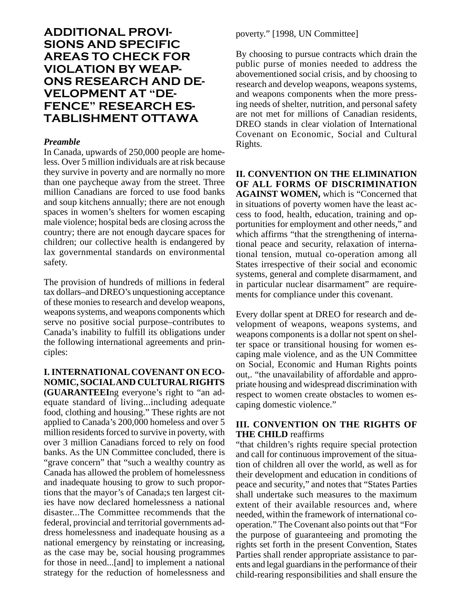# **ADDITIONAL PROVI-SIONS AND SPECIFIC AREAS TO CHECK FOR VIOLATION BY WEAP-ONS RESEARCH AND DE-VELOPMENT AT "DE-FENCE" RESEARCH ES-TABLISHMENT OTTAWA**

#### *Preamble*

In Canada, upwards of 250,000 people are homeless. Over 5 million individuals are at risk because they survive in poverty and are normally no more than one paycheque away from the street. Three million Canadians are forced to use food banks and soup kitchens annually; there are not enough spaces in women's shelters for women escaping male violence; hospital beds are closing across the country; there are not enough daycare spaces for children; our collective health is endangered by lax governmental standards on environmental safety.

The provision of hundreds of millions in federal tax dollars–and DREO's unquestioning acceptance of these monies to research and develop weapons, weapons systems, and weapons components which serve no positive social purpose–contributes to Canada's inability to fulfill its obligations under the following international agreements and principles:

# **I. INTERNATIONAL COVENANT ON ECO-NOMIC, SOCIAL AND CULTURAL RIGHTS**

**(GUARANTEEI**ng everyone's right to "an adequate standard of living...including adequate food, clothing and housing." These rights are not applied to Canada's 200,000 homeless and over 5 million residents forced to survive in poverty, with over 3 million Canadians forced to rely on food banks. As the UN Committee concluded, there is "grave concern" that "such a wealthy country as Canada has allowed the problem of homelessness and inadequate housing to grow to such proportions that the mayor's of Canada;s ten largest cities have now declared homelessness a national disaster...The Committee recommends that the federal, provincial and territorial governments address homelessness and inadequate housing as a national emergency by reinstating or increasing, as the case may be, social housing programmes for those in need...[and] to implement a national strategy for the reduction of homelessness and poverty." [1998, UN Committee]

By choosing to pursue contracts which drain the public purse of monies needed to address the abovementioned social crisis, and by choosing to research and develop weapons, weapons systems, and weapons components when the more pressing needs of shelter, nutrition, and personal safety are not met for millions of Canadian residents, DREO stands in clear violation of International Covenant on Economic, Social and Cultural Rights.

**II. CONVENTION ON THE ELIMINATION OF ALL FORMS OF DISCRIMINATION AGAINST WOMEN,** which is "Concerned that in situations of poverty women have the least access to food, health, education, training and opportunities for employment and other needs," and which affirms "that the strengthening of international peace and security, relaxation of international tension, mutual co-operation among all States irrespective of their social and economic systems, general and complete disarmament, and in particular nuclear disarmament" are requirements for compliance under this covenant.

Every dollar spent at DREO for research and development of weapons, weapons systems, and weapons components is a dollar not spent on shelter space or transitional housing for women escaping male violence, and as the UN Committee on Social, Economic and Human Rights points out,. "the unavailability of affordable and appropriate housing and widespread discrimination with respect to women create obstacles to women escaping domestic violence."

### **III. CONVENTION ON THE RIGHTS OF THE CHILD** reaffirms

"that children's rights require special protection and call for continuous improvement of the situation of children all over the world, as well as for their development and education in conditions of peace and security," and notes that "States Parties shall undertake such measures to the maximum extent of their available resources and, where needed, within the framework of international cooperation." The Covenant also points out that "For the purpose of guaranteeing and promoting the rights set forth in the present Convention, States Parties shall render appropriate assistance to parents and legal guardians in the performance of their child-rearing responsibilities and shall ensure the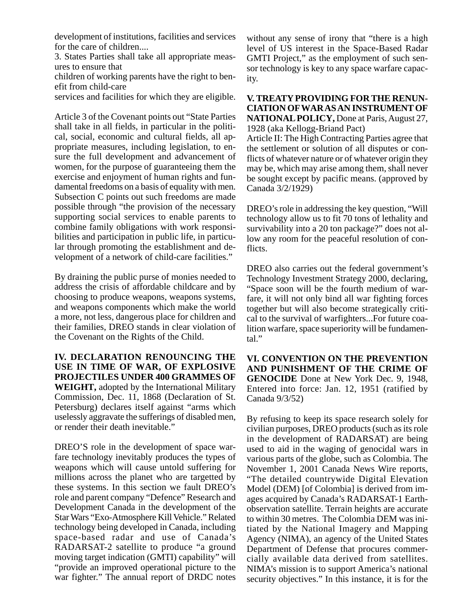development of institutions, facilities and services for the care of children....

3. States Parties shall take all appropriate measures to ensure that

children of working parents have the right to benefit from child-care

services and facilities for which they are eligible.

Article 3 of the Covenant points out "State Parties shall take in all fields, in particular in the political, social, economic and cultural fields, all appropriate measures, including legislation, to ensure the full development and advancement of women, for the purpose of guaranteeing them the exercise and enjoyment of human rights and fundamental freedoms on a basis of equality with men. Subsection C points out such freedoms are made possible through "the provision of the necessary supporting social services to enable parents to combine family obligations with work responsibilities and participation in public life, in particular through promoting the establishment and development of a network of child-care facilities."

By draining the public purse of monies needed to address the crisis of affordable childcare and by choosing to produce weapons, weapons systems, and weapons components which make the world a more, not less, dangerous place for children and their families, DREO stands in clear violation of the Covenant on the Rights of the Child.

**IV. DECLARATION RENOUNCING THE USE IN TIME OF WAR, OF EXPLOSIVE PROJECTILES UNDER 400 GRAMMES OF WEIGHT,** adopted by the International Military Commission, Dec. 11, 1868 (Declaration of St. Petersburg) declares itself against "arms which uselessly aggravate the sufferings of disabled men, or render their death inevitable."

DREO'S role in the development of space warfare technology inevitably produces the types of weapons which will cause untold suffering for millions across the planet who are targetted by these systems. In this section we fault DREO's role and parent company "Defence" Research and Development Canada in the development of the Star Wars "Exo-Atmosphere Kill Vehicle." Related technology being developed in Canada, including space-based radar and use of Canada's RADARSAT-2 satellite to produce "a ground moving target indication (GMTI) capability" will "provide an improved operational picture to the war fighter." The annual report of DRDC notes

without any sense of irony that "there is a high level of US interest in the Space-Based Radar GMTI Project," as the employment of such sensor technology is key to any space warfare capacity.

**V. TREATY PROVIDING FOR THE RENUN-CIATION OF WAR AS AN INSTRUMENT OF NATIONAL POLICY,** Done at Paris, August 27, 1928 (aka Kellogg-Briand Pact)

Article II: The High Contracting Parties agree that the settlement or solution of all disputes or conflicts of whatever nature or of whatever origin they may be, which may arise among them, shall never be sought except by pacific means. (approved by Canada 3/2/1929)

DREO's role in addressing the key question, "Will technology allow us to fit 70 tons of lethality and survivability into a 20 ton package?" does not allow any room for the peaceful resolution of conflicts.

DREO also carries out the federal government's Technology Investment Strategy 2000, declaring, "Space soon will be the fourth medium of warfare, it will not only bind all war fighting forces together but will also become strategically critical to the survival of warfighters...For future coalition warfare, space superiority will be fundamental."

**VI. CONVENTION ON THE PREVENTION AND PUNISHMENT OF THE CRIME OF GENOCIDE** Done at New York Dec. 9, 1948, Entered into force: Jan. 12, 1951 (ratified by Canada 9/3/52)

By refusing to keep its space research solely for civilian purposes, DREO products (such as its role in the development of RADARSAT) are being used to aid in the waging of genocidal wars in various parts of the globe, such as Colombia. The November 1, 2001 Canada News Wire reports, "The detailed countrywide Digital Elevation Model (DEM) [of Colombia] is derived from images acquired by Canada's RADARSAT-1 Earthobservation satellite. Terrain heights are accurate to within 30 metres. The Colombia DEM was initiated by the National Imagery and Mapping Agency (NIMA), an agency of the United States Department of Defense that procures commercially available data derived from satellites. NIMA's mission is to support America's national security objectives." In this instance, it is for the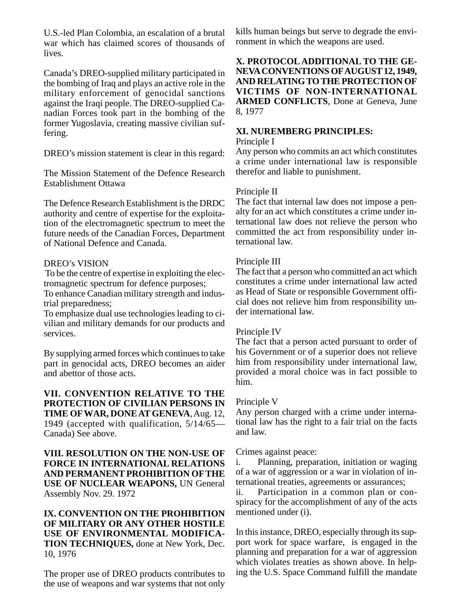U.S.-led Plan Colombia, an escalation of a brutal war which has claimed scores of thousands of lives.

Canada's DREO-supplied military participated in the bombing of Iraq and plays an active role in the military enforcement of genocidal sanctions against the Iraqi people. The DREO-supplied Canadian Forces took part in the bombing of the former Yugoslavia, creating massive civilian suffering.

DREO's mission statement is clear in this regard:

The Mission Statement of the Defence Research Establishment Ottawa

The Defence Research Establishment is the DRDC authority and centre of expertise for the exploitation of the electromagnetic spectrum to meet the future needs of the Canadian Forces, Department of National Defence and Canada.

### DREO's VISION

 To be the centre of expertise in exploiting the electromagnetic spectrum for defence purposes;

To enhance Canadian military strength and industrial preparedness;

To emphasize dual use technologies leading to civilian and military demands for our products and services.

By supplying armed forces which continues to take part in genocidal acts, DREO becomes an aider and abettor of those acts.

**VII. CONVENTION RELATIVE TO THE PROTECTION OF CIVILIAN PERSONS IN TIME OF WAR, DONE AT GENEVA**, Aug. 12, 1949 (accepted with qualification, 5/14/65— Canada) See above.

**VIII. RESOLUTION ON THE NON-USE OF FORCE IN INTERNATIONAL RELATIONS AND PERMANENT PROHIBITION OF THE USE OF NUCLEAR WEAPONS,** UN General Assembly Nov. 29. 1972

#### **IX. CONVENTION ON THE PROHIBITION OF MILITARY OR ANY OTHER HOSTILE USE OF ENVIRONMENTAL MODIFICA-TION TECHNIQUES,** done at New York, Dec. 10, 1976

The proper use of DREO products contributes to the use of weapons and war systems that not only

kills human beings but serve to degrade the environment in which the weapons are used.

**X. PROTOCOL ADDITIONAL TO THE GE-NEVA CONVENTIONS OF AUGUST 12, 1949, AND RELATING TO THE PROTECTION OF VICTIMS OF NON-INTERNATIONAL ARMED CONFLICTS**, Done at Geneva, June 8, 1977

#### **XI. NUREMBERG PRINCIPLES:** Principle I

Any person who commits an act which constitutes a crime under international law is responsible therefor and liable to punishment.

### Principle II

The fact that internal law does not impose a penalty for an act which constitutes a crime under international law does not relieve the person who committed the act from responsibility under international law.

## Principle III

The fact that a person who committed an act which constitutes a crime under international law acted as Head of State or responsible Government official does not relieve him from responsibility under international law.

### Principle IV

The fact that a person acted pursuant to order of his Government or of a superior does not relieve him from responsibility under international law, provided a moral choice was in fact possible to him.

### Principle V

Any person charged with a crime under international law has the right to a fair trial on the facts and law.

### Crimes against peace:

i. Planning, preparation, initiation or waging of a war of aggression or a war in violation of international treaties, agreements or assurances;

ii. Participation in a common plan or conspiracy for the accomplishment of any of the acts mentioned under (i).

In this instance, DREO, especially through its support work for space warfare, is engaged in the planning and preparation for a war of aggression which violates treaties as shown above. In helping the U.S. Space Command fulfill the mandate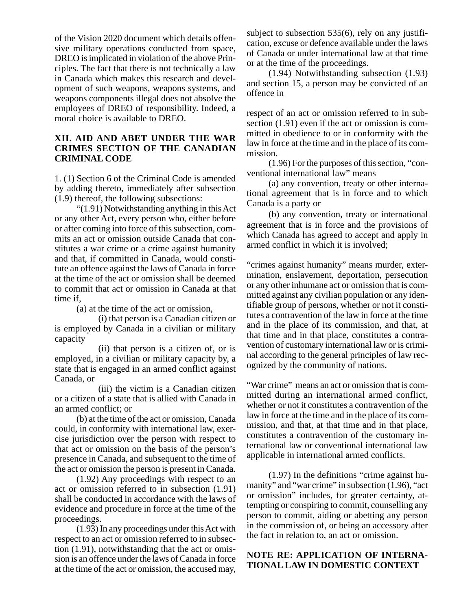of the Vision 2020 document which details offensive military operations conducted from space, DREO is implicated in violation of the above Principles. The fact that there is not technically a law in Canada which makes this research and development of such weapons, weapons systems, and weapons components illegal does not absolve the employees of DREO of responsibility. Indeed, a moral choice is available to DREO.

#### **XII. AID AND ABET UNDER THE WAR CRIMES SECTION OF THE CANADIAN CRIMINAL CODE**

1. (1) Section 6 of the Criminal Code is amended by adding thereto, immediately after subsection (1.9) thereof, the following subsections:

"(1.91) Notwithstanding anything in this Act or any other Act, every person who, either before or after coming into force of this subsection, commits an act or omission outside Canada that constitutes a war crime or a crime against humanity and that, if committed in Canada, would constitute an offence against the laws of Canada in force at the time of the act or omission shall be deemed to commit that act or omission in Canada at that time if,

(a) at the time of the act or omission,

(i) that person is a Canadian citizen or is employed by Canada in a civilian or military capacity

(ii) that person is a citizen of, or is employed, in a civilian or military capacity by, a state that is engaged in an armed conflict against Canada, or

(iii) the victim is a Canadian citizen or a citizen of a state that is allied with Canada in an armed conflict; or

(b) at the time of the act or omission, Canada could, in conformity with international law, exercise jurisdiction over the person with respect to that act or omission on the basis of the person's presence in Canada, and subsequent to the time of the act or omission the person is present in Canada.

(1.92) Any proceedings with respect to an act or omission referred to in subsection (1.91) shall be conducted in accordance with the laws of evidence and procedure in force at the time of the proceedings.

(1.93) In any proceedings under this Act with respect to an act or omission referred to in subsection (1.91), notwithstanding that the act or omission is an offence under the laws of Canada in force at the time of the act or omission, the accused may,

subject to subsection 535(6), rely on any justification, excuse or defence available under the laws of Canada or under international law at that time or at the time of the proceedings.

(1.94) Notwithstanding subsection (1.93) and section 15, a person may be convicted of an offence in

respect of an act or omission referred to in subsection (1.91) even if the act or omission is committed in obedience to or in conformity with the law in force at the time and in the place of its commission.

(1.96) For the purposes of this section, "conventional international law" means

(a) any convention, treaty or other international agreement that is in force and to which Canada is a party or

(b) any convention, treaty or international agreement that is in force and the provisions of which Canada has agreed to accept and apply in armed conflict in which it is involved;

"crimes against humanity" means murder, extermination, enslavement, deportation, persecution or any other inhumane act or omission that is committed against any civilian population or any identifiable group of persons, whether or not it constitutes a contravention of the law in force at the time and in the place of its commission, and that, at that time and in that place, constitutes a contravention of customary international law or is criminal according to the general principles of law recognized by the community of nations.

"War crime" means an act or omission that is committed during an international armed conflict, whether or not it constitutes a contravention of the law in force at the time and in the place of its commission, and that, at that time and in that place, constitutes a contravention of the customary international law or conventional international law applicable in international armed conflicts.

(1.97) In the definitions "crime against humanity" and "war crime" in subsection (1.96), "act or omission" includes, for greater certainty, attempting or conspiring to commit, counselling any person to commit, aiding or abetting any person in the commission of, or being an accessory after the fact in relation to, an act or omission.

#### **NOTE RE: APPLICATION OF INTERNA-TIONAL LAW IN DOMESTIC CONTEXT**